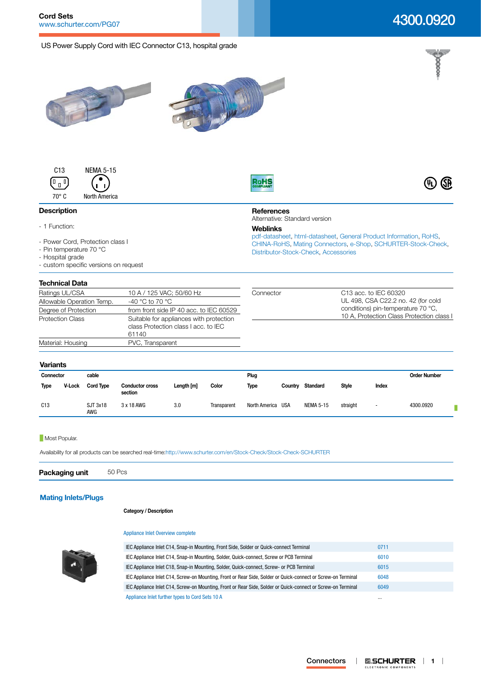## US Power Supply Cord with IEC Connector C13, hospital grade

# 4300.0920

beeek

 $\circledR$ 







## **Description**

- 1 Function:
- Power Cord, Protection class I
- Pin temperature 70 °C
- Hospital grade

- custom specific versions on request

## **Technical Data**

| IVVIIIIVUI PUW            |                                                                                          |           |                                           |
|---------------------------|------------------------------------------------------------------------------------------|-----------|-------------------------------------------|
| Ratings UL/CSA            | 10 A / 125 VAC; 50/60 Hz                                                                 | Connector | C <sub>13</sub> acc. to IEC 60320         |
| Allowable Operation Temp. | -40 °C to 70 °C                                                                          |           | UL 498, CSA C22.2 no. 42 (for cold        |
| Degree of Protection      | from front side IP 40 acc. to IEC 60529                                                  |           | conditions) pin-temperature 70 °C,        |
| <b>Protection Class</b>   | Suitable for appliances with protection<br>class Protection class I acc. to IEC<br>61140 |           | 10 A, Protection Class Protection class I |
| Material: Housing         | PVC, Transparent                                                                         |           |                                           |

**References**

**Weblinks**

RoHS

Alternative: Standard version

[Distributor-Stock-Check,](http:///en/Stock-Check/Stock-Check-Distributor?partnumber1=4300.0920) [Accessories](http://www.schurter.ch/wwwsc/con_z01.asp)

[pdf-datasheet](http://www.schurter.ch/pdf/english/typ_4300.0920.pdf), [html-datasheet](http://www.schurter.ch/en/datasheet/4300.0920), [General Product Information,](http://www.schurter.ch/products/iec_connector_overview.asp) [RoHS,](http://www.schurter.ch/company/rohs.asp) [CHINA-RoHS,](http://www.schurter.ch/company/china_rohs.asp) [Mating Connectors](http://www.schurter.ch/Components/Connectors/Mating-Connectors), [e-Shop](http:///en/Stock-Check/e-Shop?MATNR=4300.0920&COM_QTY=1&AUTOSEARCH=true&VARIANT=E-SHOP), [SCHURTER-Stock-Check](http:///en/Stock-Check/Stock-Check-SCHURTER?MATNR=4300.0920&COM_QTY=50&AUTOSEARCH=true),

### **Variants**

| .           |        |                  |                                   |            |             |                   |         |                  |              |        |                     |
|-------------|--------|------------------|-----------------------------------|------------|-------------|-------------------|---------|------------------|--------------|--------|---------------------|
| Connector   |        | cable            |                                   |            |             | Plug              |         |                  |              |        | <b>Order Number</b> |
| <b>Type</b> | V-Lock | <b>Cord Type</b> | <b>Conductor cross</b><br>section | Length [m] | Color       | Type              | Country | <b>Standard</b>  | <b>Style</b> | Index  |                     |
| C13         |        | SJT 3x18<br>AWG  | 3 x 18 AWG                        | 3.0        | Transparent | North America USA |         | <b>NEMA 5-15</b> | straight     | $\sim$ | 4300.0920           |

#### **Most Popular.**

Availability for all products can be searched real-time[:http://www.schurter.com/en/Stock-Check/Stock-Check-SCHURTER](http://www.schurter.com/en/Stock-Check/Stock-Check-SCHURTER)

**Packaging unit** 50 Pcs

### **[Mating Inlets/Plugs](http://www.schurter.ch/Components/Connectors/Mating-Connectors?out_type=Cord_Sets_10_A)**

## **Category / Description**

#### [Appliance Inlet Overview complete](http://www.schurter.ch/pg07)



| IEC Appliance Inlet C14, Snap-in Mounting, Front Side, Solder or Quick-connect Terminal                      | 0711     |
|--------------------------------------------------------------------------------------------------------------|----------|
| IEC Appliance Inlet C14, Snap-in Mounting, Solder, Quick-connect, Screw or PCB Terminal                      | 6010     |
| IEC Appliance Inlet C18, Snap-in Mounting, Solder, Quick-connect, Screw- or PCB Terminal                     | 6015     |
| IEC Appliance Inlet C14, Screw-on Mounting, Front or Rear Side, Solder or Quick-connect or Screw-on Terminal | 6048     |
| IEC Appliance Inlet C14, Screw-on Mounting, Front or Rear Side, Solder or Quick-connect or Screw-on Terminal | 6049     |
| Appliance Inlet further types to Cord Sets 10 A                                                              | $\cdots$ |